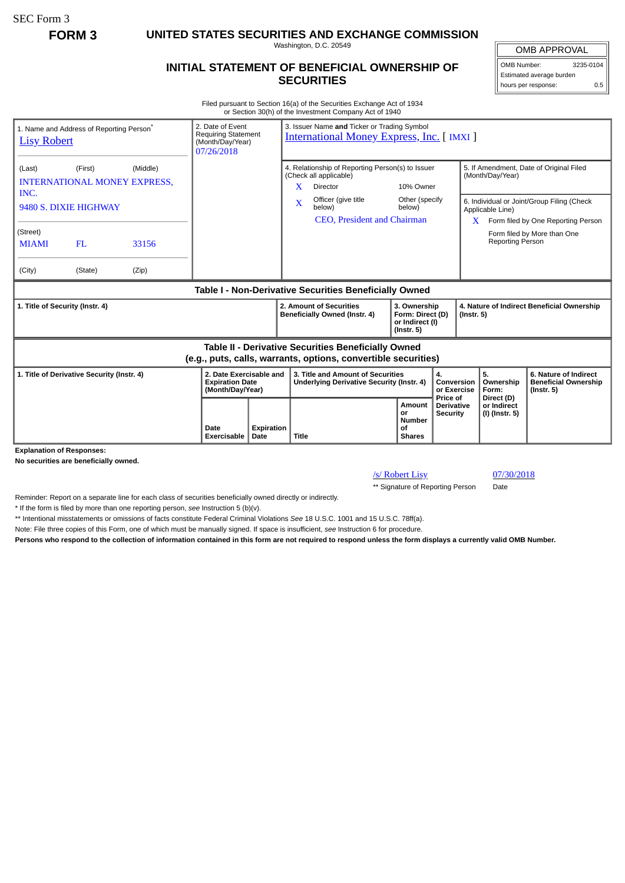SEC Form 3

**FORM 3 UNITED STATES SECURITIES AND EXCHANGE COMMISSION**

Washington, D.C. 20549

## **INITIAL STATEMENT OF BENEFICIAL OWNERSHIP OF SECURITIES**

OMB APPROVAL OMB Number: 3235-0104 Estimated average burden hours per response: 0.5

Filed pursuant to Section 16(a) of the Securities Exchange Act of 1934 or Section 30(h) of the Investment Company Act of 1940

| 1. Name and Address of Reporting Person <sup>®</sup><br><b>Lisy Robert</b>                                            |         |       | 2. Date of Event<br>3. Issuer Name and Ticker or Trading Symbol<br><b>Requiring Statement</b><br><b>International Money Express, Inc. [ IMXI ]</b><br>(Month/Day/Year)<br>07/26/2018 |                           |                                                                                                           |                                                              |                                                                         |                                                             |                                                                                                                      |                                             |                                                                          |
|-----------------------------------------------------------------------------------------------------------------------|---------|-------|--------------------------------------------------------------------------------------------------------------------------------------------------------------------------------------|---------------------------|-----------------------------------------------------------------------------------------------------------|--------------------------------------------------------------|-------------------------------------------------------------------------|-------------------------------------------------------------|----------------------------------------------------------------------------------------------------------------------|---------------------------------------------|--------------------------------------------------------------------------|
| (Middle)<br>(First)<br>(Last)<br><b>INTERNATIONAL MONEY EXPRESS,</b><br>INC.                                          |         |       |                                                                                                                                                                                      |                           | 4. Relationship of Reporting Person(s) to Issuer<br>(Check all applicable)<br>X.<br>10% Owner<br>Director |                                                              |                                                                         | 5. If Amendment, Date of Original Filed<br>(Month/Day/Year) |                                                                                                                      |                                             |                                                                          |
| 9480 S. DIXIE HIGHWAY                                                                                                 |         |       |                                                                                                                                                                                      |                           | $\mathbf{x}$                                                                                              | Officer (give title<br>below)<br>CEO, President and Chairman | Other (specify<br>below)                                                |                                                             | 6. Individual or Joint/Group Filing (Check<br>Applicable Line)<br>Form filed by One Reporting Person<br>$\mathbf{X}$ |                                             |                                                                          |
| (Street)<br><b>MIAMI</b>                                                                                              | FL      | 33156 |                                                                                                                                                                                      |                           |                                                                                                           |                                                              |                                                                         |                                                             |                                                                                                                      | <b>Reporting Person</b>                     | Form filed by More than One                                              |
| (City)                                                                                                                | (State) | (Zip) |                                                                                                                                                                                      |                           |                                                                                                           |                                                              |                                                                         |                                                             |                                                                                                                      |                                             |                                                                          |
| Table I - Non-Derivative Securities Beneficially Owned                                                                |         |       |                                                                                                                                                                                      |                           |                                                                                                           |                                                              |                                                                         |                                                             |                                                                                                                      |                                             |                                                                          |
| 1. Title of Security (Instr. 4)                                                                                       |         |       |                                                                                                                                                                                      |                           |                                                                                                           | 2. Amount of Securities<br>Beneficially Owned (Instr. 4)     | 3. Ownership<br>Form: Direct (D)<br>or Indirect (I)<br>$($ Instr. 5 $)$ |                                                             | 4. Nature of Indirect Beneficial Ownership<br>$($ lnstr. 5 $)$                                                       |                                             |                                                                          |
| Table II - Derivative Securities Beneficially Owned<br>(e.g., puts, calls, warrants, options, convertible securities) |         |       |                                                                                                                                                                                      |                           |                                                                                                           |                                                              |                                                                         |                                                             |                                                                                                                      |                                             |                                                                          |
| 1. Title of Derivative Security (Instr. 4)                                                                            |         |       | 2. Date Exercisable and<br><b>Expiration Date</b><br>(Month/Day/Year)                                                                                                                |                           | 3. Title and Amount of Securities<br><b>Underlying Derivative Security (Instr. 4)</b>                     |                                                              | 4.<br>Conversion<br>or Exercise                                         |                                                             |                                                                                                                      | 5.<br>Ownership<br>Form:                    | 6. Nature of Indirect<br><b>Beneficial Ownership</b><br>$($ lnstr. 5 $)$ |
| <b>Evnianation of Responses:</b>                                                                                      |         |       | Date<br><b>Exercisable</b>                                                                                                                                                           | <b>Expiration</b><br>Date | Title                                                                                                     |                                                              | <b>Amount</b><br>or<br><b>Number</b><br>οf<br><b>Shares</b>             | Price of<br><b>Derivative</b><br><b>Security</b>            |                                                                                                                      | Direct (D)<br>or Indirect<br>(I) (Instr. 5) |                                                                          |

**Explanation of Responses** 

**No securities are beneficially owned.**

/s/ Robert Lisy 07/30/2018

\*\* Signature of Reporting Person Date

Reminder: Report on a separate line for each class of securities beneficially owned directly or indirectly.

\* If the form is filed by more than one reporting person, *see* Instruction 5 (b)(v).

\*\* Intentional misstatements or omissions of facts constitute Federal Criminal Violations *See* 18 U.S.C. 1001 and 15 U.S.C. 78ff(a).

Note: File three copies of this Form, one of which must be manually signed. If space is insufficient, *see* Instruction 6 for procedure.

**Persons who respond to the collection of information contained in this form are not required to respond unless the form displays a currently valid OMB Number.**